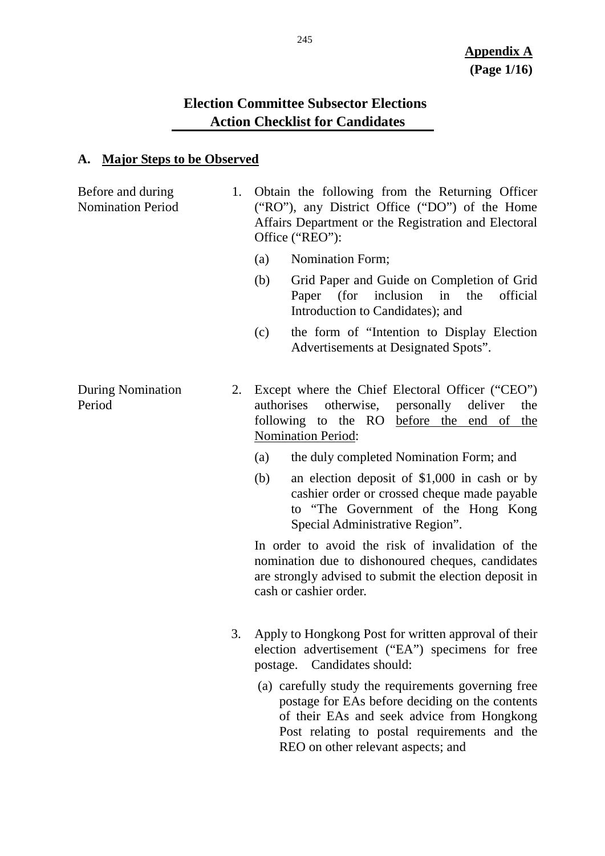# **Election Committee Subsector Elections Action Checklist for Candidates**

#### **A. Major Steps to be Observed**

Before and during Nomination Period 1. Obtain the following from the Returning Officer ("RO"), any District Office ("DO") of the Home Affairs Department or the Registration and Electoral Office ("REO"):

- (a) Nomination Form;
- (b) Grid Paper and Guide on Completion of Grid Paper (for inclusion in the official Introduction to Candidates); and
- (c) the form of "Intention to Display Election Advertisements at Designated Spots".
- During Nomination Period 2. Except where the Chief Electoral Officer ("CEO") authorises otherwise, personally deliver the following to the RO before the end of the Nomination Period:
	- (a) the duly completed Nomination Form; and
	- (b) an election deposit of \$1,000 in cash or by cashier order or crossed cheque made payable to "The Government of the Hong Kong Special Administrative Region".

In order to avoid the risk of invalidation of the nomination due to dishonoured cheques, candidates are strongly advised to submit the election deposit in cash or cashier order.

- 3. Apply to Hongkong Post for written approval of their election advertisement ("EA") specimens for free postage. Candidates should:
	- (a) carefully study the requirements governing free postage for EAs before deciding on the contents of their EAs and seek advice from Hongkong Post relating to postal requirements and the REO on other relevant aspects; and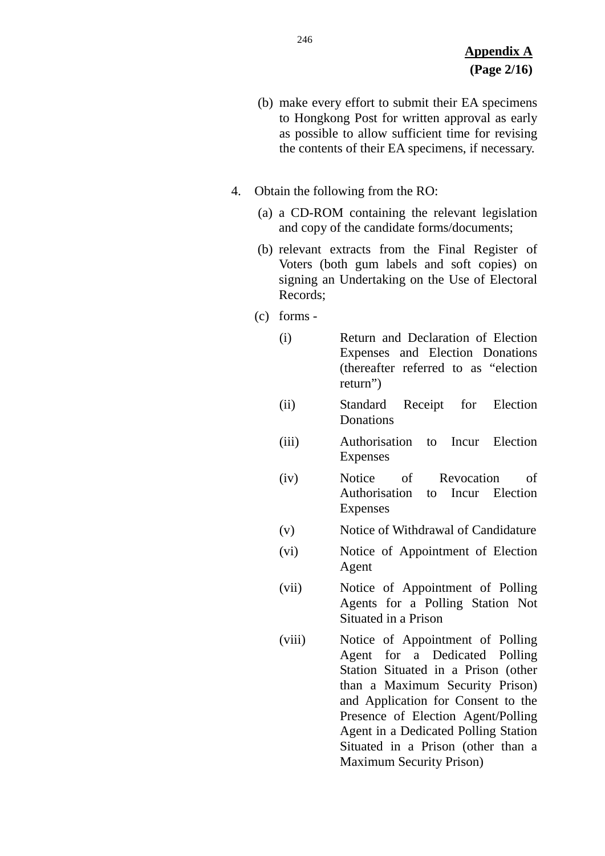- (b) make every effort to submit their EA specimens to Hongkong Post for written approval as early as possible to allow sufficient time for revising the contents of their EA specimens, if necessary.
- 4. Obtain the following from the RO:
	- (a) a CD-ROM containing the relevant legislation and copy of the candidate forms/documents;
	- (b) relevant extracts from the Final Register of Voters (both gum labels and soft copies) on signing an Undertaking on the Use of Electoral Records;
	- (c) forms
		- (i) Return and Declaration of Election Expenses and Election Donations (thereafter referred to as "election return")
		- (ii) Standard Receipt for Election **Donations**
		- (iii) Authorisation to Incur Election Expenses
		- (iv) Notice of Revocation of Authorisation to Incur Election Expenses
		- (v) Notice of Withdrawal of Candidature
		- (vi) Notice of Appointment of Election Agent
		- (vii) Notice of Appointment of Polling Agents for a Polling Station Not Situated in a Prison
		- (viii) Notice of Appointment of Polling Agent for a Dedicated Polling Station Situated in a Prison (other than a Maximum Security Prison) and Application for Consent to the Presence of Election Agent/Polling Agent in a Dedicated Polling Station Situated in a Prison (other than a Maximum Security Prison)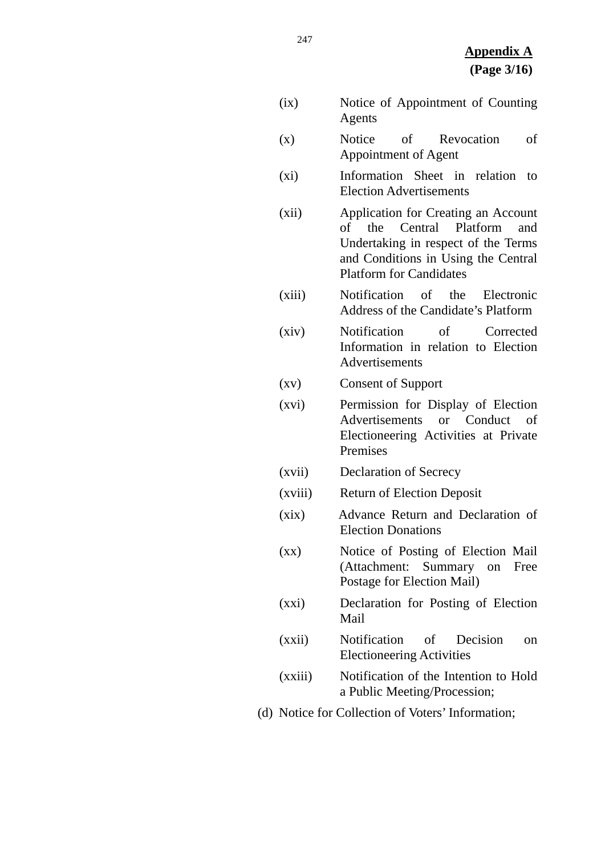- (ix) Notice of Appointment of Counting Agents (x) Notice of Revocation of Appointment of Agent
- (xi) Information Sheet in relation to Election Advertisements
- (xii) Application for Creating an Account of the Central Platform and Undertaking in respect of the Terms and Conditions in Using the Central Platform for Candidates
- (xiii) Notification of the Electronic Address of the Candidate's Platform
- (xiv) Notification of Corrected Information in relation to Election Advertisements
- (xv) Consent of Support
- (xvi) Permission for Display of Election Advertisements or Conduct of Electioneering Activities at Private Premises
- (xvii) Declaration of Secrecy
- (xviii) Return of Election Deposit
- (xix) Advance Return and Declaration of Election Donations
- (xx) Notice of Posting of Election Mail (Attachment: Summary on Free Postage for Election Mail)
- (xxi) Declaration for Posting of Election Mail
- (xxii) Notification of Decision on Electioneering Activities
- (xxiii) Notification of the Intention to Hold a Public Meeting/Procession;
- (d) Notice for Collection of Voters' Information;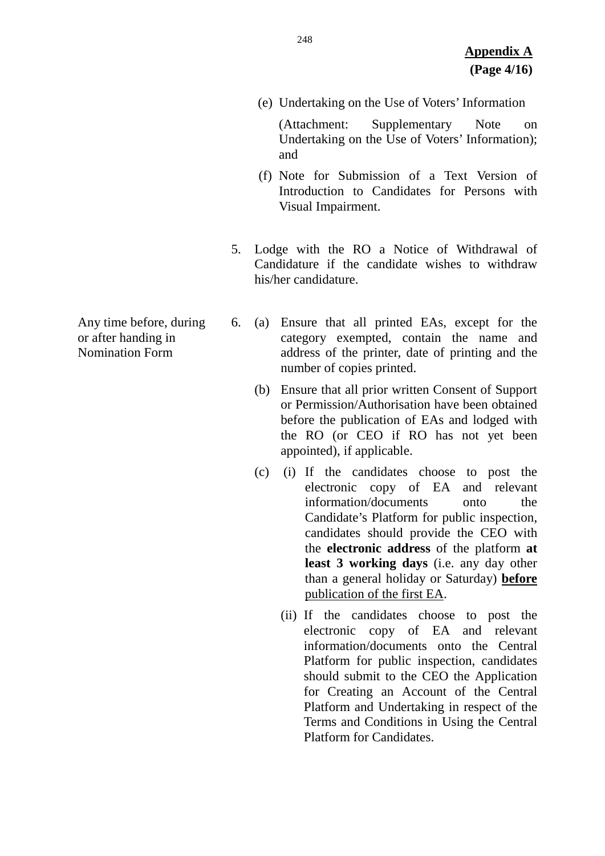(e) Undertaking on the Use of Voters' Information

(Attachment: Supplementary Note on Undertaking on the Use of Voters' Information); and

- (f) Note for Submission of a Text Version of Introduction to Candidates for Persons with Visual Impairment.
- 5. Lodge with the RO a Notice of Withdrawal of Candidature if the candidate wishes to withdraw his/her candidature.
- 6. (a) Ensure that all printed EAs, except for the category exempted, contain the name and address of the printer, date of printing and the number of copies printed.
	- (b) Ensure that all prior written Consent of Support or Permission/Authorisation have been obtained before the publication of EAs and lodged with the RO (or CEO if RO has not yet been appointed), if applicable.
	- (c) (i) If the candidates choose to post the electronic copy of EA and relevant information/documents onto the Candidate's Platform for public inspection, candidates should provide the CEO with the **electronic address** of the platform **at least 3 working days** (i.e. any day other than a general holiday or Saturday) **before** publication of the first EA.
		- (ii) If the candidates choose to post the electronic copy of EA and relevant information/documents onto the Central Platform for public inspection, candidates should submit to the CEO the Application for Creating an Account of the Central Platform and Undertaking in respect of the Terms and Conditions in Using the Central Platform for Candidates.

Any time before, during or after handing in Nomination Form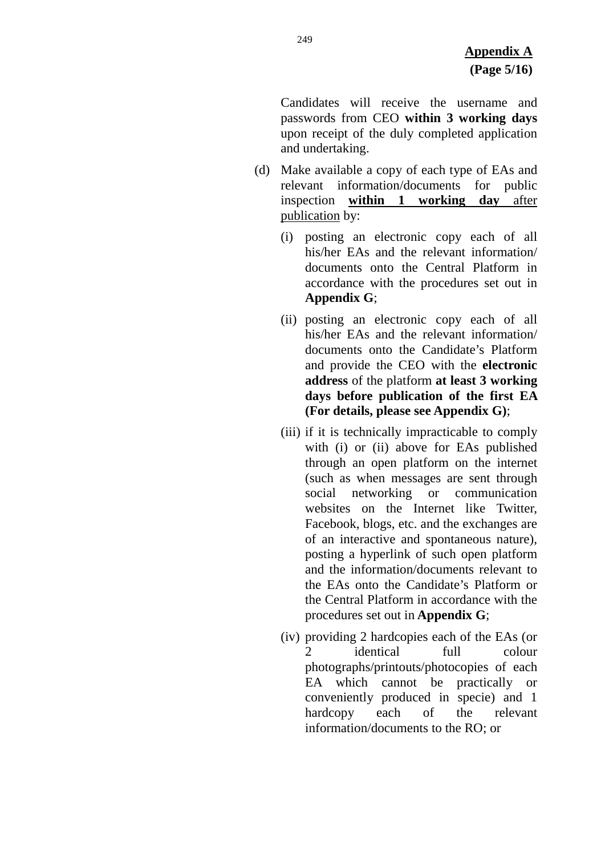Candidates will receive the username and passwords from CEO **within 3 working days** upon receipt of the duly completed application and undertaking.

- (d) Make available a copy of each type of EAs and relevant information/documents for public inspection **within 1 working day** after publication by:
	- (i) posting an electronic copy each of all his/her EAs and the relevant information/ documents onto the Central Platform in accordance with the procedures set out in **Appendix G**;
	- (ii) posting an electronic copy each of all his/her EAs and the relevant information/ documents onto the Candidate's Platform and provide the CEO with the **electronic address** of the platform **at least 3 working days before publication of the first EA (For details, please see Appendix G)**;
	- (iii) if it is technically impracticable to comply with (i) or (ii) above for EAs published through an open platform on the internet (such as when messages are sent through social networking or communication websites on the Internet like Twitter, Facebook, blogs, etc. and the exchanges are of an interactive and spontaneous nature), posting a hyperlink of such open platform and the information/documents relevant to the EAs onto the Candidate's Platform or the Central Platform in accordance with the procedures set out in **Appendix G**;
	- (iv) providing 2 hardcopies each of the EAs (or 2 identical full colour photographs/printouts/photocopies of each EA which cannot be practically or conveniently produced in specie) and 1 hardcopy each of the relevant information/documents to the RO; or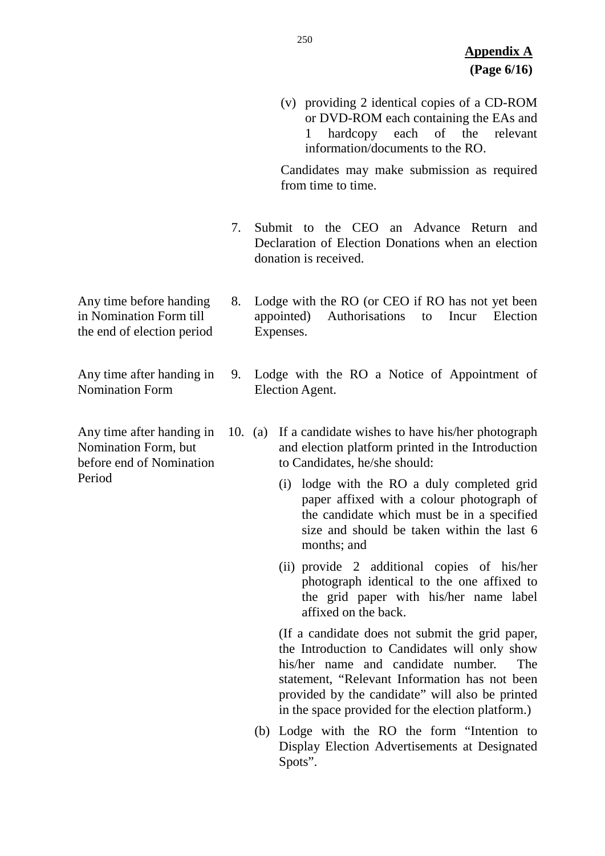(v) providing 2 identical copies of a CD-ROM or DVD-ROM each containing the EAs and 1 hardcopy each of the relevant information/documents to the RO.

Candidates may make submission as required from time to time.

- 7. Submit to the CEO an Advance Return and Declaration of Election Donations when an election donation is received.
- 8. Lodge with the RO (or CEO if RO has not yet been appointed) Authorisations to Incur Election Expenses.
- 9. Lodge with the RO a Notice of Appointment of Election Agent.
- 10. (a) If a candidate wishes to have his/her photograph and election platform printed in the Introduction to Candidates, he/she should:
	- (i) lodge with the RO a duly completed grid paper affixed with a colour photograph of the candidate which must be in a specified size and should be taken within the last 6 months; and
	- (ii) provide 2 additional copies of his/her photograph identical to the one affixed to the grid paper with his/her name label affixed on the back.

(If a candidate does not submit the grid paper, the Introduction to Candidates will only show his/her name and candidate number. The statement, "Relevant Information has not been provided by the candidate" will also be printed in the space provided for the election platform.)

(b) Lodge with the RO the form "Intention to Display Election Advertisements at Designated Spots".

- Any time before handing in Nomination Form till the end of election period
- Any time after handing in Nomination Form
- Any time after handing in Nomination Form, but before end of Nomination Period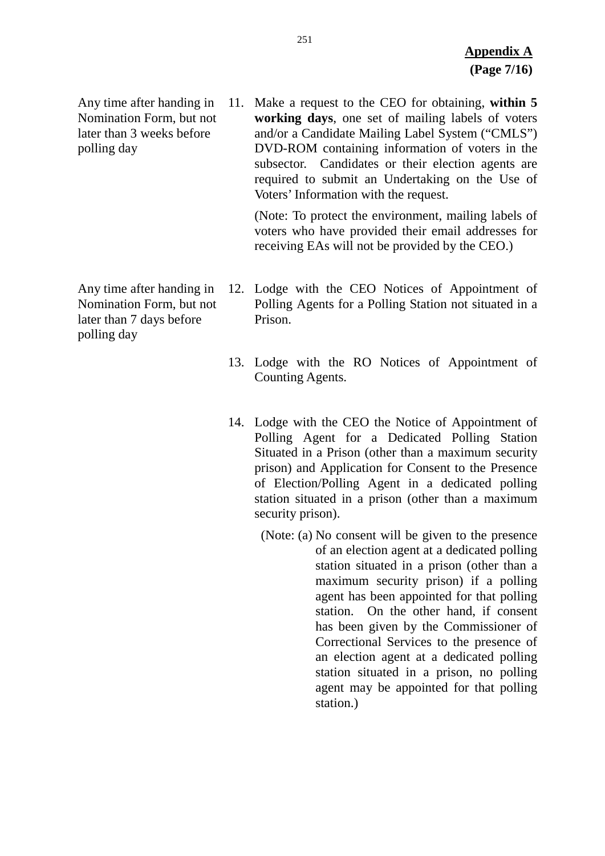Any time after handing in Nomination Form, but not later than 3 weeks before polling day

11. Make a request to the CEO for obtaining, **within 5 working days**, one set of mailing labels of voters and/or a Candidate Mailing Label System ("CMLS") DVD-ROM containing information of voters in the subsector. Candidates or their election agents are required to submit an Undertaking on the Use of Voters' Information with the request.

(Note: To protect the environment, mailing labels of voters who have provided their email addresses for receiving EAs will not be provided by the CEO.)

- Any time after handing in Nomination Form, but not later than 7 days before polling day
- 12. Lodge with the CEO Notices of Appointment of Polling Agents for a Polling Station not situated in a Prison.
	- 13. Lodge with the RO Notices of Appointment of Counting Agents.
	- 14. Lodge with the CEO the Notice of Appointment of Polling Agent for a Dedicated Polling Station Situated in a Prison (other than a maximum security prison) and Application for Consent to the Presence of Election/Polling Agent in a dedicated polling station situated in a prison (other than a maximum security prison).
		- (Note: (a) No consent will be given to the presence of an election agent at a dedicated polling station situated in a prison (other than a maximum security prison) if a polling agent has been appointed for that polling station. On the other hand, if consent has been given by the Commissioner of Correctional Services to the presence of an election agent at a dedicated polling station situated in a prison, no polling agent may be appointed for that polling station.)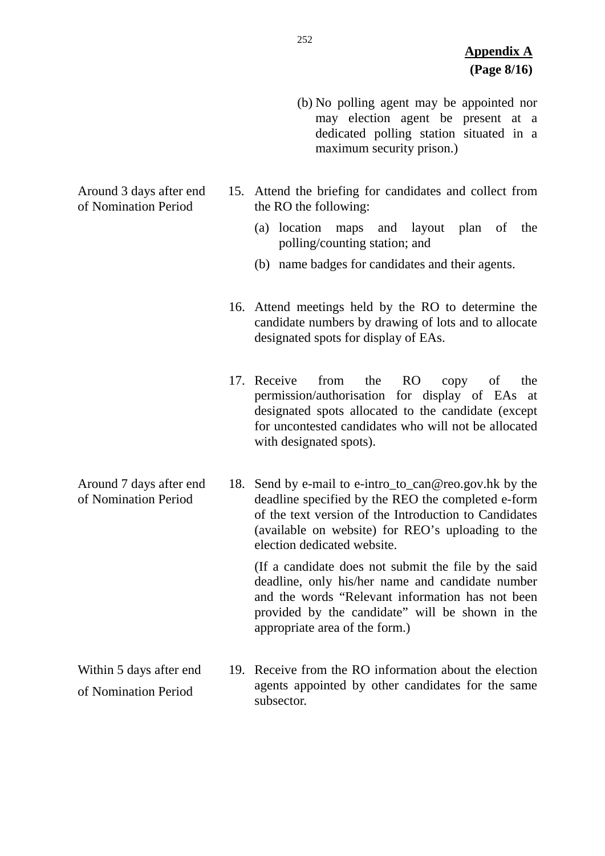- (b) No polling agent may be appointed nor may election agent be present at a dedicated polling station situated in a maximum security prison.)
- 15. Attend the briefing for candidates and collect from the RO the following:
	- (a) location maps and layout plan of the polling/counting station; and
	- (b) name badges for candidates and their agents.
- 16. Attend meetings held by the RO to determine the candidate numbers by drawing of lots and to allocate designated spots for display of EAs.
- 17. Receive from the RO copy of the permission/authorisation for display of EAs at designated spots allocated to the candidate (except for uncontested candidates who will not be allocated with designated spots).

Around 7 days after end of Nomination Period 18. Send by e-mail to e-intro to can@reo.gov.hk by the deadline specified by the REO the completed e-form of the text version of the Introduction to Candidates (available on website) for REO's uploading to the election dedicated website.

> (If a candidate does not submit the file by the said deadline, only his/her name and candidate number and the words "Relevant information has not been provided by the candidate" will be shown in the appropriate area of the form.)

Within 5 days after end of Nomination Period 19. Receive from the RO information about the election agents appointed by other candidates for the same subsector.

Around 3 days after end of Nomination Period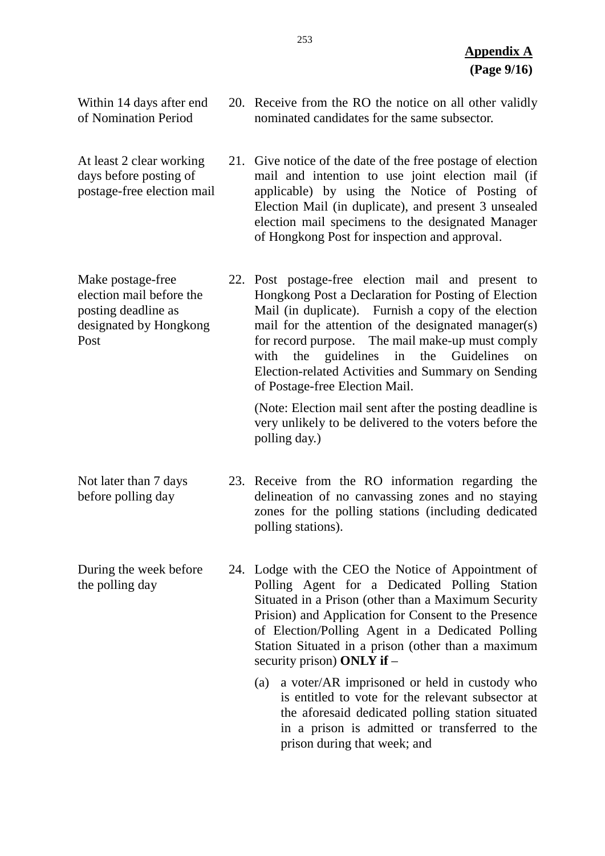nominated candidates for the same subsector. 21. Give notice of the date of the free postage of election mail and intention to use joint election mail (if applicable) by using the Notice of Posting of Election Mail (in duplicate), and present 3 unsealed election mail specimens to the designated Manager of Hongkong Post for inspection and approval. Make postage-free 22. Post postage-free election mail and present to Hongkong Post a Declaration for Posting of Election Mail (in duplicate). Furnish a copy of the election mail for the attention of the designated manager(s) for record purpose. The mail make-up must comply with the guidelines in the Guidelines on Election-related Activities and Summary on Sending of Postage-free Election Mail. (Note: Election mail sent after the posting deadline is very unlikely to be delivered to the voters before the polling day.) Not later than 7 days before polling day 23. Receive from the RO information regarding the delineation of no canvassing zones and no staying zones for the polling stations (including dedicated polling stations).

> 24. Lodge with the CEO the Notice of Appointment of Polling Agent for a Dedicated Polling Station Situated in a Prison (other than a Maximum Security Prision) and Application for Consent to the Presence of Election/Polling Agent in a Dedicated Polling Station Situated in a prison (other than a maximum security prison) **ONLY if** –

> > (a) a voter/AR imprisoned or held in custody who is entitled to vote for the relevant subsector at the aforesaid dedicated polling station situated in a prison is admitted or transferred to the prison during that week; and

20. Receive from the RO the notice on all other validly

Within 14 days after end of Nomination Period

At least 2 clear working days before posting of postage-free election mail

election mail before the posting deadline as designated by Hongkong Post

- 
- During the week before the polling day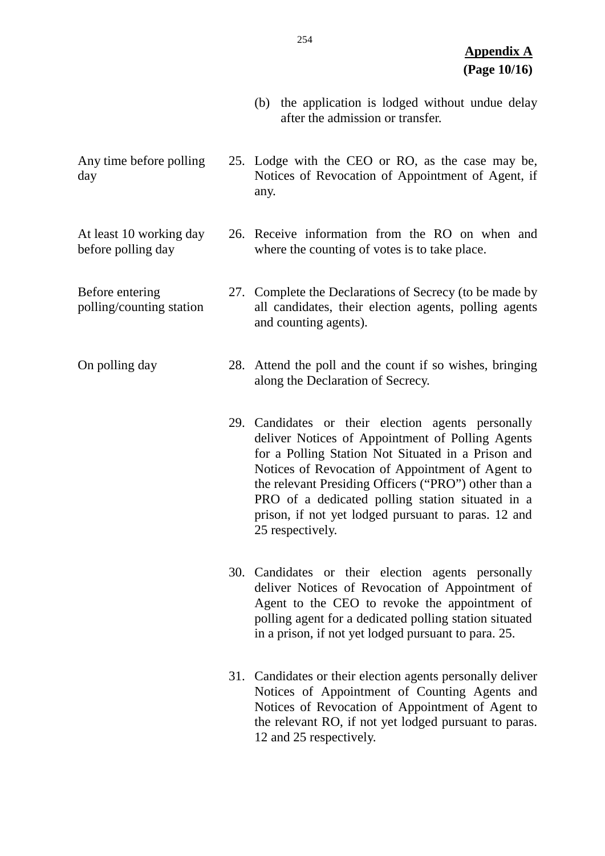- (b) the application is lodged without undue delay after the admission or transfer.
- Any time before polling day 25. Lodge with the CEO or RO, as the case may be, Notices of Revocation of Appointment of Agent, if any.

At least 10 working day before polling day

Before entering polling/counting station

26. Receive information from the RO on when and where the counting of votes is to take place.

27. Complete the Declarations of Secrecy (to be made by all candidates, their election agents, polling agents and counting agents).

On polling day 28. Attend the poll and the count if so wishes, bringing along the Declaration of Secrecy.

- 29. Candidates or their election agents personally deliver Notices of Appointment of Polling Agents for a Polling Station Not Situated in a Prison and Notices of Revocation of Appointment of Agent to the relevant Presiding Officers ("PRO") other than a PRO of a dedicated polling station situated in a prison, if not yet lodged pursuant to paras. 12 and 25 respectively.
- 30. Candidates or their election agents personally deliver Notices of Revocation of Appointment of Agent to the CEO to revoke the appointment of polling agent for a dedicated polling station situated in a prison, if not yet lodged pursuant to para. 25.
- 31. Candidates or their election agents personally deliver Notices of Appointment of Counting Agents and Notices of Revocation of Appointment of Agent to the relevant RO, if not yet lodged pursuant to paras. 12 and 25 respectively.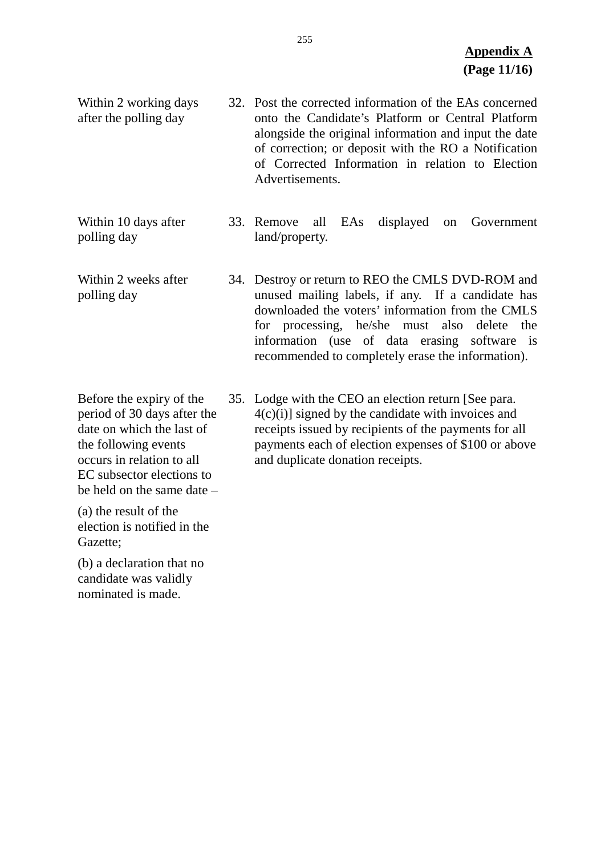Within 2 working days after the polling day 32. Post the corrected information of the EAs concerned onto the Candidate's Platform or Central Platform alongside the original information and input the date of correction; or deposit with the RO a Notification of Corrected Information in relation to Election Advertisements.

Within 10 days after polling day 33. Remove all EAs displayed on Government land/property.

- Within 2 weeks after polling day 34. Destroy or return to REO the CMLS DVD-ROM and unused mailing labels, if any. If a candidate has downloaded the voters' information from the CMLS for processing, he/she must also delete the information (use of data erasing software is recommended to completely erase the information).
- Before the expiry of the period of 30 days after the date on which the last of the following events occurs in relation to all EC subsector elections to 35. Lodge with the CEO an election return [See para. 4(c)(i)] signed by the candidate with invoices and receipts issued by recipients of the payments for all payments each of election expenses of \$100 or above and duplicate donation receipts.

(a) the result of the election is notified in the Gazette;

be held on the same date –

(b) a declaration that no candidate was validly nominated is made.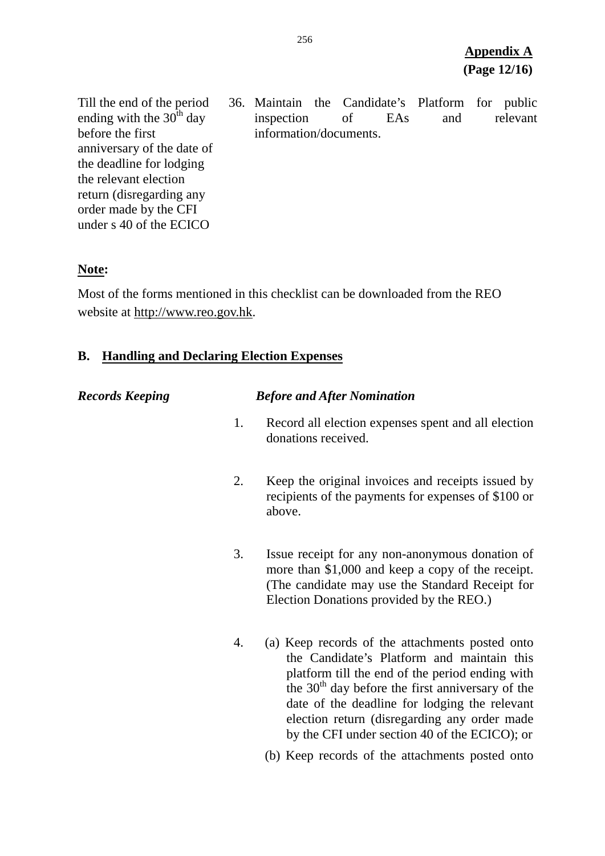Till the end of the period ending with the  $30<sup>th</sup>$  day before the first anniversary of the date of the deadline for lodging the relevant election return (disregarding any order made by the CFI under s 40 of the ECICO

36. Maintain the Candidate's Platform for public inspection of EAs and relevant information/documents.

### **Note:**

Most of the forms mentioned in this checklist can be downloaded from the REO website at [http://www.reo.gov.hk.](http://www.reo.gov.hk/)

## **B. Handling and Declaring Election Expenses**

| <b>Records Keeping</b> |    | <b>Before and After Nomination</b>                                                                                                                                                                                                                                                                                                                       |
|------------------------|----|----------------------------------------------------------------------------------------------------------------------------------------------------------------------------------------------------------------------------------------------------------------------------------------------------------------------------------------------------------|
|                        | 1. | Record all election expenses spent and all election<br>donations received.                                                                                                                                                                                                                                                                               |
|                        | 2. | Keep the original invoices and receipts issued by<br>recipients of the payments for expenses of \$100 or<br>above.                                                                                                                                                                                                                                       |
|                        | 3. | Issue receipt for any non-anonymous donation of<br>more than \$1,000 and keep a copy of the receipt.<br>(The candidate may use the Standard Receipt for<br>Election Donations provided by the REO.)                                                                                                                                                      |
|                        | 4. | (a) Keep records of the attachments posted onto<br>the Candidate's Platform and maintain this<br>platform till the end of the period ending with<br>the $30th$ day before the first anniversary of the<br>date of the deadline for lodging the relevant<br>election return (disregarding any order made<br>by the CFI under section 40 of the ECICO); or |
|                        |    | (b) Keep records of the attachments posted onto                                                                                                                                                                                                                                                                                                          |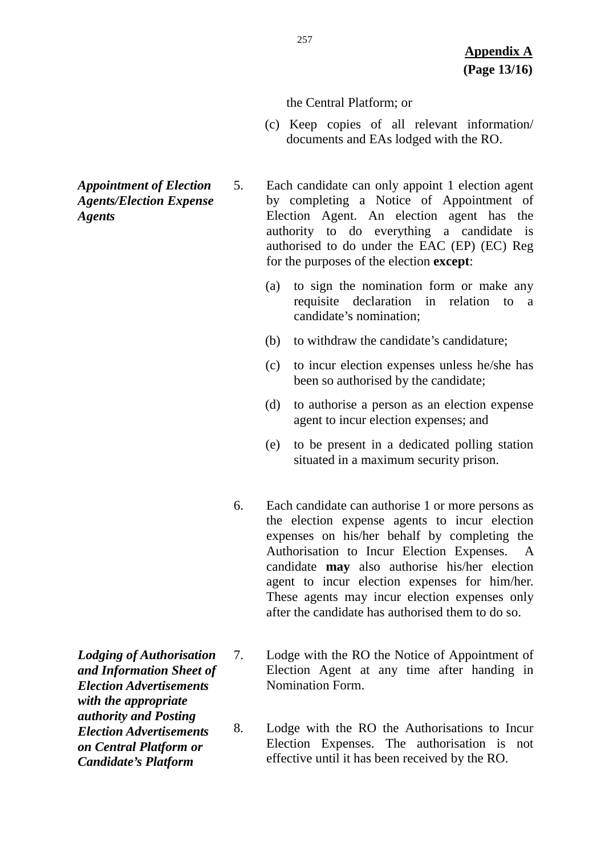#### the Central Platform; or

- (c) Keep copies of all relevant information/ documents and EAs lodged with the RO.
- *Appointment of Election Agents/Election Expense Agents*
- 5. Each candidate can only appoint 1 election agent by completing a Notice of Appointment of Election Agent. An election agent has the authority to do everything a candidate is authorised to do under the EAC (EP) (EC) Reg for the purposes of the election **except**:
	- (a) to sign the nomination form or make any requisite declaration in relation to a candidate's nomination;
	- (b) to withdraw the candidate's candidature;
	- (c) to incur election expenses unless he/she has been so authorised by the candidate;
	- (d) to authorise a person as an election expense agent to incur election expenses; and
	- (e) to be present in a dedicated polling station situated in a maximum security prison.
	- 6. Each candidate can authorise 1 or more persons as the election expense agents to incur election expenses on his/her behalf by completing the Authorisation to Incur Election Expenses. A candidate **may** also authorise his/her election agent to incur election expenses for him/her. These agents may incur election expenses only after the candidate has authorised them to do so.
	- 7. Lodge with the RO the Notice of Appointment of Election Agent at any time after handing in Nomination Form.
	- 8. Lodge with the RO the Authorisations to Incur Election Expenses. The authorisation is not effective until it has been received by the RO.
- *Lodging of Authorisation and Information Sheet of Election Advertisements with the appropriate authority and Posting Election Advertisements on Central Platform or Candidate's Platform*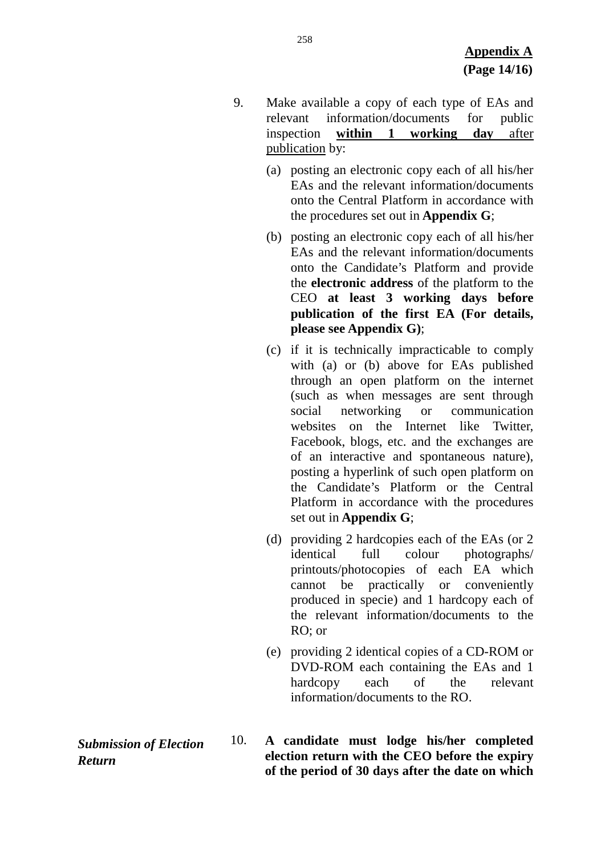- 9. Make available a copy of each type of EAs and relevant information/documents for public inspection **within 1 working day** after publication by:
	- (a) posting an electronic copy each of all his/her EAs and the relevant information/documents onto the Central Platform in accordance with the procedures set out in **Appendix G**;
	- (b) posting an electronic copy each of all his/her EAs and the relevant information/documents onto the Candidate's Platform and provide the **electronic address** of the platform to the CEO **at least 3 working days before publication of the first EA (For details, please see Appendix G)**;
	- (c) if it is technically impracticable to comply with (a) or (b) above for EAs published through an open platform on the internet (such as when messages are sent through social networking or communication websites on the Internet like Twitter, Facebook, blogs, etc. and the exchanges are of an interactive and spontaneous nature), posting a hyperlink of such open platform on the Candidate's Platform or the Central Platform in accordance with the procedures set out in **Appendix G**;
	- (d) providing 2 hardcopies each of the EAs (or 2 identical full colour photographs/ printouts/photocopies of each EA which cannot be practically or conveniently produced in specie) and 1 hardcopy each of the relevant information/documents to the RO; or
	- (e) providing 2 identical copies of a CD-ROM or DVD-ROM each containing the EAs and 1 hardcopy each of the relevant information/documents to the RO.
- 10. **A candidate must lodge his/her completed election return with the CEO before the expiry of the period of 30 days after the date on which**

*Submission of Election Return*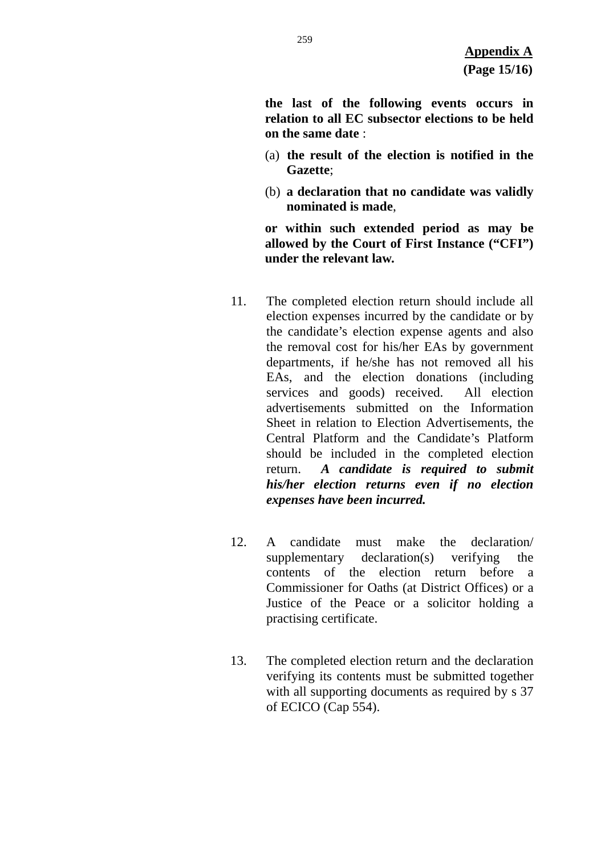**the last of the following events occurs in relation to all EC subsector elections to be held on the same date** :

- (a) **the result of the election is notified in the Gazette**;
- (b) **a declaration that no candidate was validly nominated is made**,

**or within such extended period as may be allowed by the Court of First Instance ("CFI") under the relevant law.**

- 11. The completed election return should include all election expenses incurred by the candidate or by the candidate's election expense agents and also the removal cost for his/her EAs by government departments, if he/she has not removed all his EAs, and the election donations (including services and goods) received. All election advertisements submitted on the Information Sheet in relation to Election Advertisements, the Central Platform and the Candidate's Platform should be included in the completed election return. *A candidate is required to submit his/her election returns even if no election expenses have been incurred.*
- 12. A candidate must make the declaration/ supplementary declaration(s) verifying the contents of the election return before a Commissioner for Oaths (at District Offices) or a Justice of the Peace or a solicitor holding a practising certificate.
- 13. The completed election return and the declaration verifying its contents must be submitted together with all supporting documents as required by s 37 of ECICO (Cap 554).